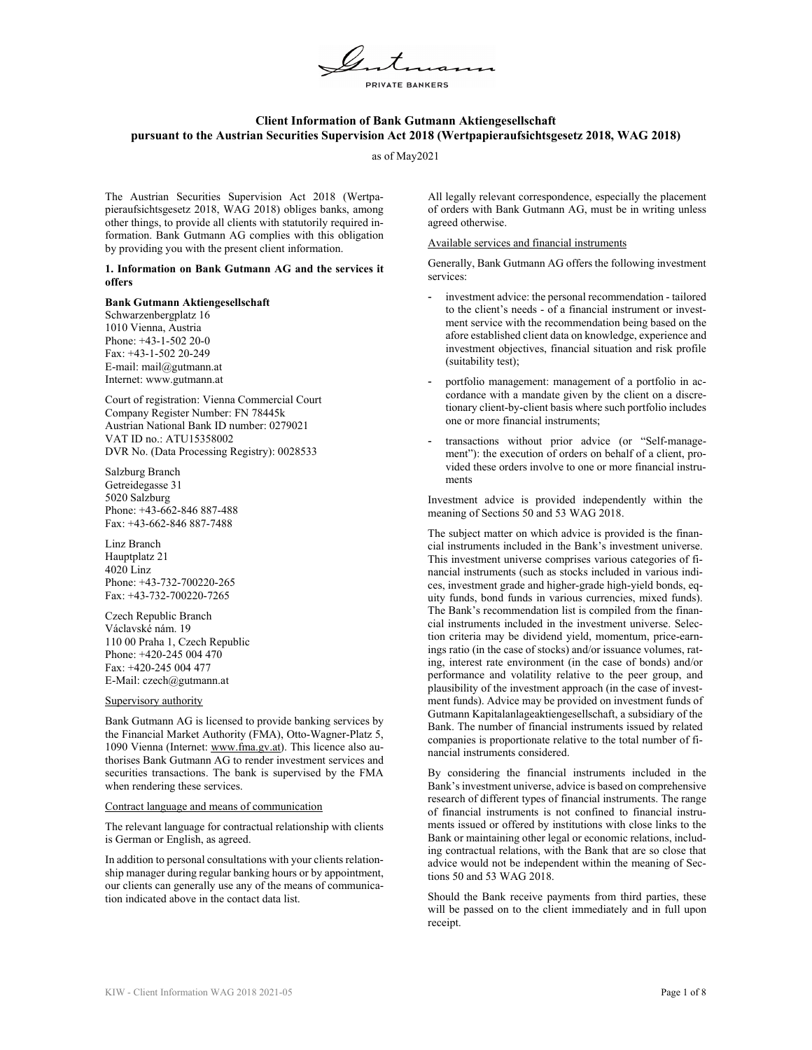

# **Client Information of Bank Gutmann Aktiengesellschaft pursuant to the Austrian Securities Supervision Act 2018 (Wertpapieraufsichtsgesetz 2018, WAG 2018)**

as of May2021

The Austrian Securities Supervision Act 2018 (Wertpapieraufsichtsgesetz 2018, WAG 2018) obliges banks, among other things, to provide all clients with statutorily required information. Bank Gutmann AG complies with this obligation by providing you with the present client information.

**1. Information on Bank Gutmann AG and the services it offers** 

### **Bank Gutmann Aktiengesellschaft**

Schwarzenbergplatz 16 1010 Vienna, Austria Phone: +43-1-502 20-0 Fax: +43-1-502 20-249 E-mail: mail@gutmann.at Internet: www.gutmann.at

Court of registration: Vienna Commercial Court Company Register Number: FN 78445k Austrian National Bank ID number: 0279021 VAT ID no.: ATU15358002 DVR No. (Data Processing Registry): 0028533

Salzburg Branch Getreidegasse 31 5020 Salzburg Phone: +43-662-846 887-488 Fax: +43-662-846 887-7488

Linz Branch Hauptplatz 21 4020 Linz Phone: +43-732-700220-265 Fax: +43-732-700220-7265

Czech Republic Branch Václavské nám. 19 110 00 Praha 1, Czech Republic Phone: +420-245 004 470 Fax: +420-245 004 477 E-Mail: czech@gutmann.at

### Supervisory authority

Bank Gutmann AG is licensed to provide banking services by the Financial Market Authority (FMA), Otto-Wagner-Platz 5, 1090 Vienna (Internet: www.fma.gv.at). This licence also authorises Bank Gutmann AG to render investment services and securities transactions. The bank is supervised by the FMA when rendering these services.

### Contract language and means of communication

The relevant language for contractual relationship with clients is German or English, as agreed.

In addition to personal consultations with your clients relationship manager during regular banking hours or by appointment, our clients can generally use any of the means of communication indicated above in the contact data list.

All legally relevant correspondence, especially the placement of orders with Bank Gutmann AG, must be in writing unless agreed otherwise.

## Available services and financial instruments

Generally, Bank Gutmann AG offers the following investment services:

- investment advice: the personal recommendation tailored to the client's needs - of a financial instrument or investment service with the recommendation being based on the afore established client data on knowledge, experience and investment objectives, financial situation and risk profile (suitability test);
- portfolio management: management of a portfolio in accordance with a mandate given by the client on a discretionary client-by-client basis where such portfolio includes one or more financial instruments;
- transactions without prior advice (or "Self-management"): the execution of orders on behalf of a client, provided these orders involve to one or more financial instruments

Investment advice is provided independently within the meaning of Sections 50 and 53 WAG 2018.

The subject matter on which advice is provided is the financial instruments included in the Bank's investment universe. This investment universe comprises various categories of financial instruments (such as stocks included in various indices, investment grade and higher-grade high-yield bonds, equity funds, bond funds in various currencies, mixed funds). The Bank's recommendation list is compiled from the financial instruments included in the investment universe. Selection criteria may be dividend yield, momentum, price-earnings ratio (in the case of stocks) and/or issuance volumes, rating, interest rate environment (in the case of bonds) and/or performance and volatility relative to the peer group, and plausibility of the investment approach (in the case of investment funds). Advice may be provided on investment funds of Gutmann Kapitalanlageaktiengesellschaft, a subsidiary of the Bank. The number of financial instruments issued by related companies is proportionate relative to the total number of financial instruments considered.

By considering the financial instruments included in the Bank's investment universe, advice is based on comprehensive research of different types of financial instruments. The range of financial instruments is not confined to financial instruments issued or offered by institutions with close links to the Bank or maintaining other legal or economic relations, including contractual relations, with the Bank that are so close that advice would not be independent within the meaning of Sections 50 and 53 WAG 2018.

Should the Bank receive payments from third parties, these will be passed on to the client immediately and in full upon receipt.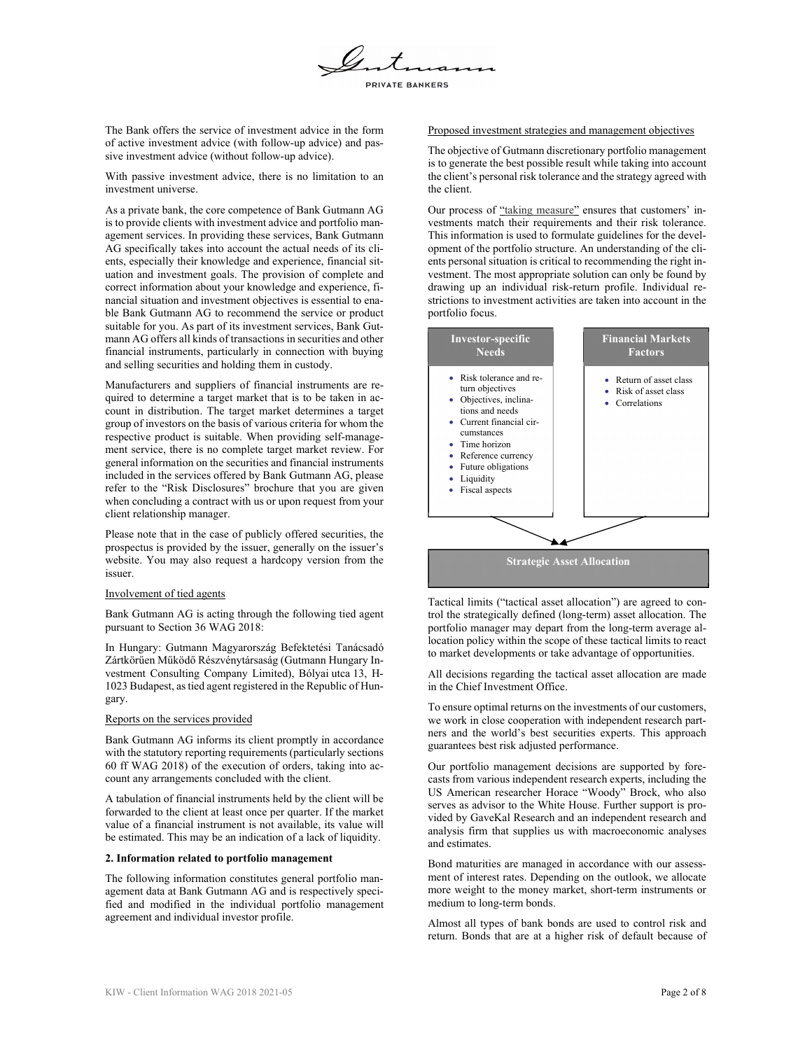

The Bank offers the service of investment advice in the form of active investment advice (with follow-up advice) and passive investment advice (without follow-up advice).

With passive investment advice, there is no limitation to an investment universe.

As a private bank, the core competence of Bank Gutmann AG is to provide clients with investment advice and portfolio management services. In providing these services, Bank Gutmann AG specifically takes into account the actual needs of its clients, especially their knowledge and experience, financial situation and investment goals. The provision of complete and correct information about your knowledge and experience, financial situation and investment objectives is essential to enable Bank Gutmann AG to recommend the service or product suitable for you. As part of its investment services, Bank Gutmann AG offers all kinds of transactions in securities and other financial instruments, particularly in connection with buying and selling securities and holding them in custody.

Manufacturers and suppliers of financial instruments are required to determine a target market that is to be taken in account in distribution. The target market determines a target group of investors on the basis of various criteria for whom the respective product is suitable. When providing self-management service, there is no complete target market review. For general information on the securities and financial instruments included in the services offered by Bank Gutmann AG, please refer to the "Risk Disclosures" brochure that you are given when concluding a contract with us or upon request from your client relationship manager.

Please note that in the case of publicly offered securities, the prospectus is provided by the issuer, generally on the issuer's website. You may also request a hardcopy version from the issuer.

### Involvement of tied agents

Bank Gutmann AG is acting through the following tied agent pursuant to Section 36 WAG 2018:

In Hungary: Gutmann Magyarország Befektetési Tanácsadó Zártkörűen Működő Részvénytársaság (Gutmann Hungary Investment Consulting Company Limited), Bólyai utca 13, H-1023 Budapest, as tied agent registered in the Republic of Hungary.

## Reports on the services provided

Bank Gutmann AG informs its client promptly in accordance with the statutory reporting requirements (particularly sections 60 ff WAG 2018) of the execution of orders, taking into account any arrangements concluded with the client.

A tabulation of financial instruments held by the client will be forwarded to the client at least once per quarter. If the market value of a financial instrument is not available, its value will be estimated. This may be an indication of a lack of liquidity.

### **2. Information related to portfolio management**

The following information constitutes general portfolio management data at Bank Gutmann AG and is respectively specified and modified in the individual portfolio management agreement and individual investor profile.

# Proposed investment strategies and management objectives

The objective of Gutmann discretionary portfolio management is to generate the best possible result while taking into account the client's personal risk tolerance and the strategy agreed with the client.

Our process of "taking measure" ensures that customers' investments match their requirements and their risk tolerance. This information is used to formulate guidelines for the development of the portfolio structure. An understanding of the clients personal situation is critical to recommending the right investment. The most appropriate solution can only be found by drawing up an individual risk-return profile. Individual restrictions to investment activities are taken into account in the portfolio focus.



Tactical limits ("tactical asset allocation") are agreed to control the strategically defined (long-term) asset allocation. The portfolio manager may depart from the long-term average allocation policy within the scope of these tactical limits to react to market developments or take advantage of opportunities.

All decisions regarding the tactical asset allocation are made in the Chief Investment Office.

To ensure optimal returns on the investments of our customers, we work in close cooperation with independent research partners and the world's best securities experts. This approach guarantees best risk adjusted performance.

Our portfolio management decisions are supported by forecasts from various independent research experts, including the US American researcher Horace "Woody" Brock, who also serves as advisor to the White House. Further support is provided by GaveKal Research and an independent research and analysis firm that supplies us with macroeconomic analyses and estimates.

Bond maturities are managed in accordance with our assessment of interest rates. Depending on the outlook, we allocate more weight to the money market, short-term instruments or medium to long-term bonds.

Almost all types of bank bonds are used to control risk and return. Bonds that are at a higher risk of default because of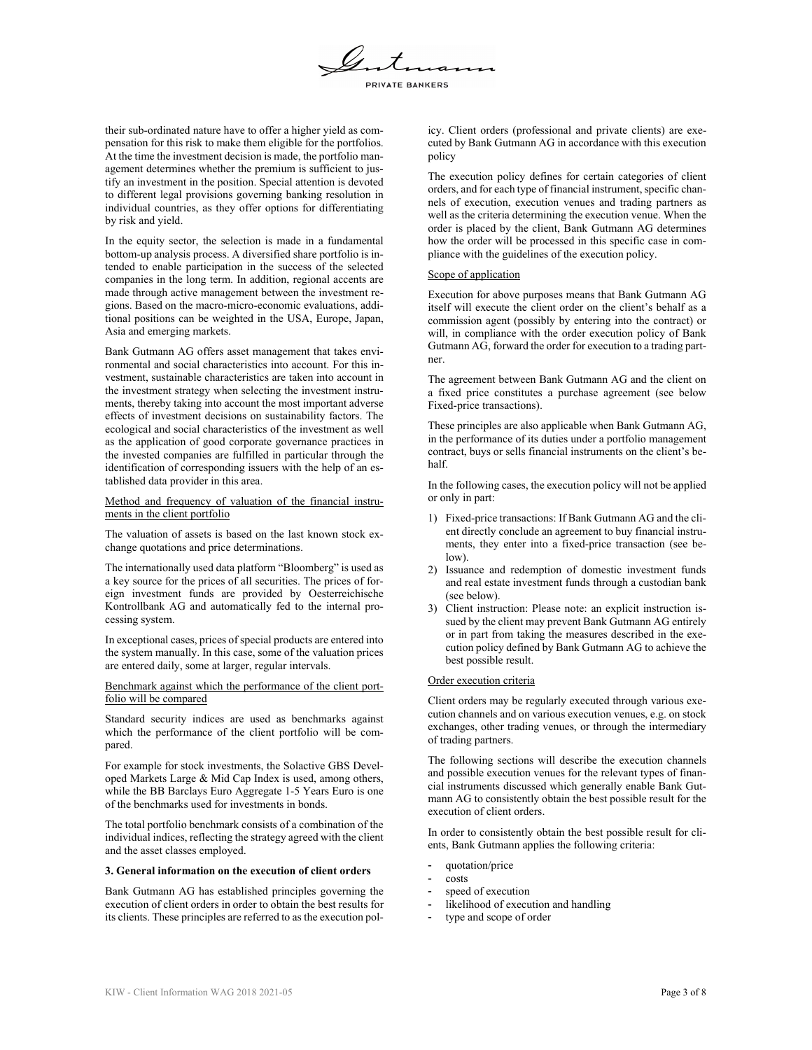

their sub-ordinated nature have to offer a higher yield as compensation for this risk to make them eligible for the portfolios. At the time the investment decision is made, the portfolio management determines whether the premium is sufficient to justify an investment in the position. Special attention is devoted to different legal provisions governing banking resolution in individual countries, as they offer options for differentiating by risk and yield.

In the equity sector, the selection is made in a fundamental bottom-up analysis process. A diversified share portfolio is intended to enable participation in the success of the selected companies in the long term. In addition, regional accents are made through active management between the investment regions. Based on the macro-micro-economic evaluations, additional positions can be weighted in the USA, Europe, Japan, Asia and emerging markets.

Bank Gutmann AG offers asset management that takes environmental and social characteristics into account. For this investment, sustainable characteristics are taken into account in the investment strategy when selecting the investment instruments, thereby taking into account the most important adverse effects of investment decisions on sustainability factors. The ecological and social characteristics of the investment as well as the application of good corporate governance practices in the invested companies are fulfilled in particular through the identification of corresponding issuers with the help of an established data provider in this area.

Method and frequency of valuation of the financial instruments in the client portfolio

The valuation of assets is based on the last known stock exchange quotations and price determinations.

The internationally used data platform "Bloomberg" is used as a key source for the prices of all securities. The prices of foreign investment funds are provided by Oesterreichische Kontrollbank AG and automatically fed to the internal processing system.

In exceptional cases, prices of special products are entered into the system manually. In this case, some of the valuation prices are entered daily, some at larger, regular intervals.

Benchmark against which the performance of the client portfolio will be compared

Standard security indices are used as benchmarks against which the performance of the client portfolio will be compared.

For example for stock investments, the Solactive GBS Developed Markets Large & Mid Cap Index is used, among others, while the BB Barclays Euro Aggregate 1-5 Years Euro is one of the benchmarks used for investments in bonds.

The total portfolio benchmark consists of a combination of the individual indices, reflecting the strategy agreed with the client and the asset classes employed.

#### **3. General information on the execution of client orders**

Bank Gutmann AG has established principles governing the execution of client orders in order to obtain the best results for its clients. These principles are referred to as the execution policy. Client orders (professional and private clients) are executed by Bank Gutmann AG in accordance with this execution policy

The execution policy defines for certain categories of client orders, and for each type of financial instrument, specific channels of execution, execution venues and trading partners as well as the criteria determining the execution venue. When the order is placed by the client, Bank Gutmann AG determines how the order will be processed in this specific case in compliance with the guidelines of the execution policy.

### Scope of application

Execution for above purposes means that Bank Gutmann AG itself will execute the client order on the client's behalf as a commission agent (possibly by entering into the contract) or will, in compliance with the order execution policy of Bank Gutmann AG, forward the order for execution to a trading partner.

The agreement between Bank Gutmann AG and the client on a fixed price constitutes a purchase agreement (see below Fixed-price transactions).

These principles are also applicable when Bank Gutmann AG, in the performance of its duties under a portfolio management contract, buys or sells financial instruments on the client's behalf.

In the following cases, the execution policy will not be applied or only in part:

- 1) Fixed-price transactions: If Bank Gutmann AG and the client directly conclude an agreement to buy financial instruments, they enter into a fixed-price transaction (see below).
- 2) Issuance and redemption of domestic investment funds and real estate investment funds through a custodian bank (see below).
- 3) Client instruction: Please note: an explicit instruction issued by the client may prevent Bank Gutmann AG entirely or in part from taking the measures described in the execution policy defined by Bank Gutmann AG to achieve the best possible result.

#### Order execution criteria

Client orders may be regularly executed through various execution channels and on various execution venues, e.g. on stock exchanges, other trading venues, or through the intermediary of trading partners.

The following sections will describe the execution channels and possible execution venues for the relevant types of financial instruments discussed which generally enable Bank Gutmann AG to consistently obtain the best possible result for the execution of client orders.

In order to consistently obtain the best possible result for clients, Bank Gutmann applies the following criteria:

- quotation/price
- costs
- speed of execution
- likelihood of execution and handling
- type and scope of order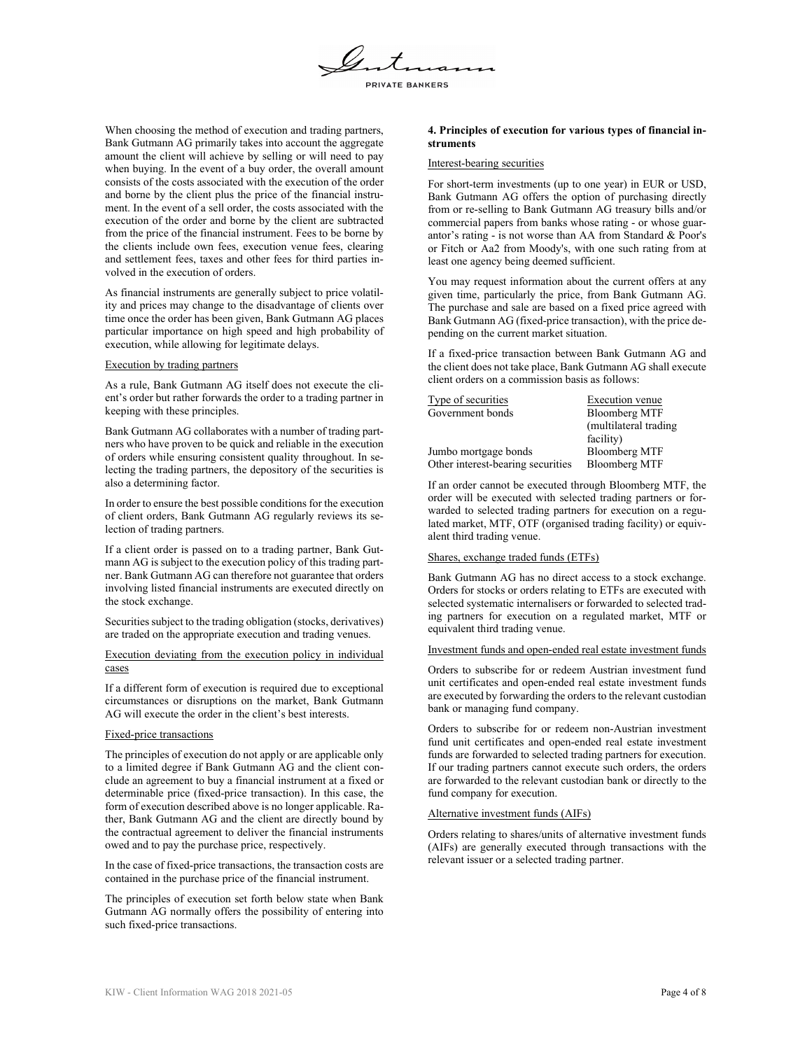

When choosing the method of execution and trading partners, Bank Gutmann AG primarily takes into account the aggregate amount the client will achieve by selling or will need to pay when buying. In the event of a buy order, the overall amount consists of the costs associated with the execution of the order and borne by the client plus the price of the financial instrument. In the event of a sell order, the costs associated with the execution of the order and borne by the client are subtracted from the price of the financial instrument. Fees to be borne by the clients include own fees, execution venue fees, clearing and settlement fees, taxes and other fees for third parties involved in the execution of orders.

As financial instruments are generally subject to price volatility and prices may change to the disadvantage of clients over time once the order has been given, Bank Gutmann AG places particular importance on high speed and high probability of execution, while allowing for legitimate delays.

## Execution by trading partners

As a rule, Bank Gutmann AG itself does not execute the client's order but rather forwards the order to a trading partner in keeping with these principles.

Bank Gutmann AG collaborates with a number of trading partners who have proven to be quick and reliable in the execution of orders while ensuring consistent quality throughout. In selecting the trading partners, the depository of the securities is also a determining factor.

In order to ensure the best possible conditions for the execution of client orders, Bank Gutmann AG regularly reviews its selection of trading partners.

If a client order is passed on to a trading partner, Bank Gutmann AG is subject to the execution policy of this trading partner. Bank Gutmann AG can therefore not guarantee that orders involving listed financial instruments are executed directly on the stock exchange.

Securities subject to the trading obligation (stocks, derivatives) are traded on the appropriate execution and trading venues.

# Execution deviating from the execution policy in individual cases

If a different form of execution is required due to exceptional circumstances or disruptions on the market, Bank Gutmann AG will execute the order in the client's best interests.

### Fixed-price transactions

The principles of execution do not apply or are applicable only to a limited degree if Bank Gutmann AG and the client conclude an agreement to buy a financial instrument at a fixed or determinable price (fixed-price transaction). In this case, the form of execution described above is no longer applicable. Rather, Bank Gutmann AG and the client are directly bound by the contractual agreement to deliver the financial instruments owed and to pay the purchase price, respectively.

In the case of fixed-price transactions, the transaction costs are contained in the purchase price of the financial instrument.

The principles of execution set forth below state when Bank Gutmann AG normally offers the possibility of entering into such fixed-price transactions.

## **4. Principles of execution for various types of financial instruments**

### Interest-bearing securities

For short-term investments (up to one year) in EUR or USD, Bank Gutmann AG offers the option of purchasing directly from or re-selling to Bank Gutmann AG treasury bills and/or commercial papers from banks whose rating - or whose guarantor's rating - is not worse than AA from Standard & Poor's or Fitch or Aa2 from Moody's, with one such rating from at least one agency being deemed sufficient.

You may request information about the current offers at any given time, particularly the price, from Bank Gutmann AG. The purchase and sale are based on a fixed price agreed with Bank Gutmann AG (fixed-price transaction), with the price depending on the current market situation.

If a fixed-price transaction between Bank Gutmann AG and the client does not take place, Bank Gutmann AG shall execute client orders on a commission basis as follows:

| Type of securities                | Execution venue        |
|-----------------------------------|------------------------|
| Government bonds                  | <b>Bloomberg MTF</b>   |
|                                   | (multilateral trading) |
|                                   | facility)              |
| Jumbo mortgage bonds              | <b>Bloomberg MTF</b>   |
| Other interest-bearing securities | <b>Bloomberg MTF</b>   |

If an order cannot be executed through Bloomberg MTF, the order will be executed with selected trading partners or forwarded to selected trading partners for execution on a regulated market, MTF, OTF (organised trading facility) or equivalent third trading venue.

#### Shares, exchange traded funds (ETFs)

Bank Gutmann AG has no direct access to a stock exchange. Orders for stocks or orders relating to ETFs are executed with selected systematic internalisers or forwarded to selected trading partners for execution on a regulated market, MTF or equivalent third trading venue.

# Investment funds and open-ended real estate investment funds

Orders to subscribe for or redeem Austrian investment fund unit certificates and open-ended real estate investment funds are executed by forwarding the orders to the relevant custodian bank or managing fund company.

Orders to subscribe for or redeem non-Austrian investment fund unit certificates and open-ended real estate investment funds are forwarded to selected trading partners for execution. If our trading partners cannot execute such orders, the orders are forwarded to the relevant custodian bank or directly to the fund company for execution.

#### Alternative investment funds (AIFs)

Orders relating to shares/units of alternative investment funds (AIFs) are generally executed through transactions with the relevant issuer or a selected trading partner.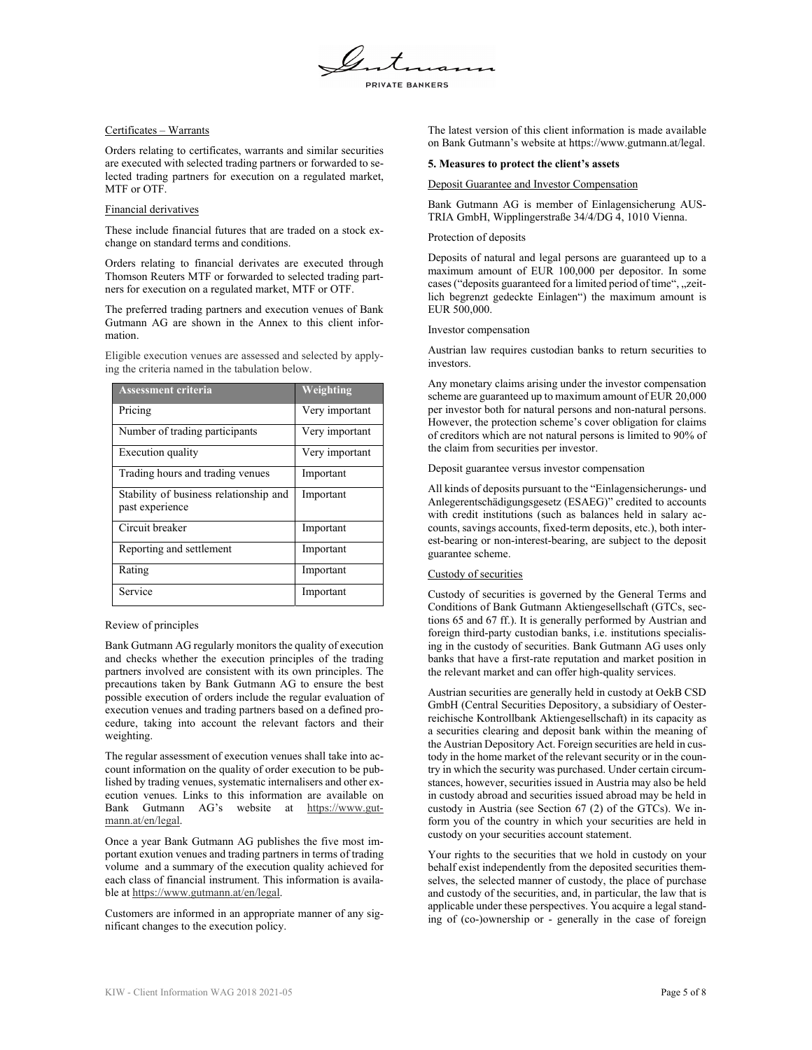# Certificates – Warrants

Orders relating to certificates, warrants and similar securities are executed with selected trading partners or forwarded to selected trading partners for execution on a regulated market, MTF or OTF.

## Financial derivatives

These include financial futures that are traded on a stock exchange on standard terms and conditions.

Orders relating to financial derivates are executed through Thomson Reuters MTF or forwarded to selected trading partners for execution on a regulated market, MTF or OTF.

The preferred trading partners and execution venues of Bank Gutmann AG are shown in the Annex to this client information.

Eligible execution venues are assessed and selected by applying the criteria named in the tabulation below.

| <b>Assessment criteria</b>                                | Weighting      |
|-----------------------------------------------------------|----------------|
| Pricing                                                   | Very important |
| Number of trading participants                            | Very important |
| Execution quality                                         | Very important |
| Trading hours and trading venues                          | Important      |
| Stability of business relationship and<br>past experience | Important      |
| Circuit breaker                                           | Important      |
| Reporting and settlement                                  | Important      |
| Rating                                                    | Important      |
| Service                                                   | Important      |

Review of principles

Bank Gutmann AG regularly monitors the quality of execution and checks whether the execution principles of the trading partners involved are consistent with its own principles. The precautions taken by Bank Gutmann AG to ensure the best possible execution of orders include the regular evaluation of execution venues and trading partners based on a defined procedure, taking into account the relevant factors and their weighting.

The regular assessment of execution venues shall take into account information on the quality of order execution to be published by trading venues, systematic internalisers and other execution venues. Links to this information are available on Bank Gutmann AG's website at https://www.gutmann.at/en/legal.

Once a year Bank Gutmann AG publishes the five most important exution venues and trading partners in terms of trading volume and a summary of the execution quality achieved for each class of financial instrument. This information is available at https://www.gutmann.at/en/legal.

Customers are informed in an appropriate manner of any significant changes to the execution policy.

The latest version of this client information is made available on Bank Gutmann's website at https://www.gutmann.at/legal.

### **5. Measures to protect the client's assets**

### Deposit Guarantee and Investor Compensation

Bank Gutmann AG is member of Einlagensicherung AUS-TRIA GmbH, Wipplingerstraße 34/4/DG 4, 1010 Vienna.

## Protection of deposits

Deposits of natural and legal persons are guaranteed up to a maximum amount of EUR 100,000 per depositor. In some cases ("deposits guaranteed for a limited period of time", "zeitlich begrenzt gedeckte Einlagen") the maximum amount is EUR 500,000.

Investor compensation

Austrian law requires custodian banks to return securities to investors.

Any monetary claims arising under the investor compensation scheme are guaranteed up to maximum amount of EUR 20,000 per investor both for natural persons and non-natural persons. However, the protection scheme's cover obligation for claims of creditors which are not natural persons is limited to 90% of the claim from securities per investor.

Deposit guarantee versus investor compensation

All kinds of deposits pursuant to the "Einlagensicherungs- und Anlegerentschädigungsgesetz (ESAEG)" credited to accounts with credit institutions (such as balances held in salary accounts, savings accounts, fixed-term deposits, etc.), both interest-bearing or non-interest-bearing, are subject to the deposit guarantee scheme.

# Custody of securities

Custody of securities is governed by the General Terms and Conditions of Bank Gutmann Aktiengesellschaft (GTCs, sections 65 and 67 ff.). It is generally performed by Austrian and foreign third-party custodian banks, i.e. institutions specialising in the custody of securities. Bank Gutmann AG uses only banks that have a first-rate reputation and market position in the relevant market and can offer high-quality services.

Austrian securities are generally held in custody at OekB CSD GmbH (Central Securities Depository, a subsidiary of Oesterreichische Kontrollbank Aktiengesellschaft) in its capacity as a securities clearing and deposit bank within the meaning of the Austrian Depository Act. Foreign securities are held in custody in the home market of the relevant security or in the country in which the security was purchased. Under certain circumstances, however, securities issued in Austria may also be held in custody abroad and securities issued abroad may be held in custody in Austria (see Section 67 (2) of the GTCs). We inform you of the country in which your securities are held in custody on your securities account statement.

Your rights to the securities that we hold in custody on your behalf exist independently from the deposited securities themselves, the selected manner of custody, the place of purchase and custody of the securities, and, in particular, the law that is applicable under these perspectives. You acquire a legal standing of (co-)ownership or - generally in the case of foreign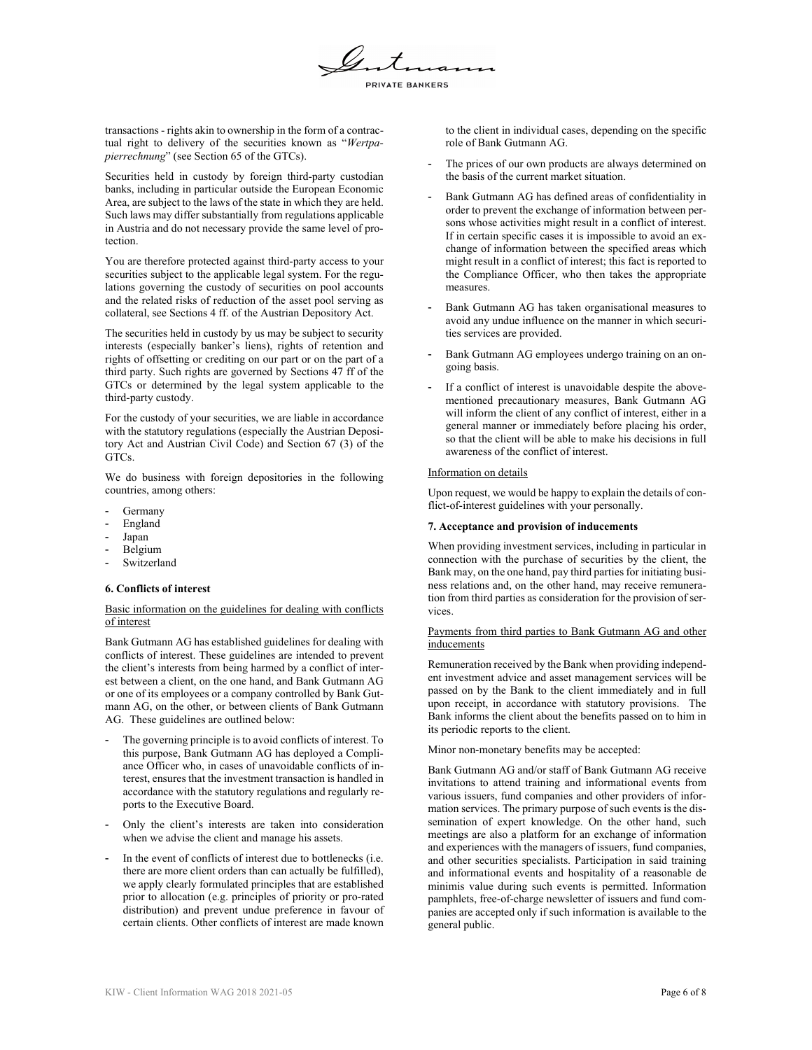

transactions - rights akin to ownership in the form of a contractual right to delivery of the securities known as "*Wertpapierrechnung*" (see Section 65 of the GTCs).

Securities held in custody by foreign third-party custodian banks, including in particular outside the European Economic Area, are subject to the laws of the state in which they are held. Such laws may differ substantially from regulations applicable in Austria and do not necessary provide the same level of protection.

You are therefore protected against third-party access to your securities subject to the applicable legal system. For the regulations governing the custody of securities on pool accounts and the related risks of reduction of the asset pool serving as collateral, see Sections 4 ff. of the Austrian Depository Act.

The securities held in custody by us may be subject to security interests (especially banker's liens), rights of retention and rights of offsetting or crediting on our part or on the part of a third party. Such rights are governed by Sections 47 ff of the GTCs or determined by the legal system applicable to the third-party custody.

For the custody of your securities, we are liable in accordance with the statutory regulations (especially the Austrian Depository Act and Austrian Civil Code) and Section 67 (3) of the GTCs.

We do business with foreign depositories in the following countries, among others:

- **Germany**
- England
- Japan
- Belgium
- Switzerland

## **6. Conflicts of interest**

## Basic information on the guidelines for dealing with conflicts of interest

Bank Gutmann AG has established guidelines for dealing with conflicts of interest. These guidelines are intended to prevent the client's interests from being harmed by a conflict of interest between a client, on the one hand, and Bank Gutmann AG or one of its employees or a company controlled by Bank Gutmann AG, on the other, or between clients of Bank Gutmann AG. These guidelines are outlined below:

- The governing principle is to avoid conflicts of interest. To this purpose, Bank Gutmann AG has deployed a Compliance Officer who, in cases of unavoidable conflicts of interest, ensures that the investment transaction is handled in accordance with the statutory regulations and regularly reports to the Executive Board.
- Only the client's interests are taken into consideration when we advise the client and manage his assets.
- In the event of conflicts of interest due to bottlenecks (i.e. there are more client orders than can actually be fulfilled), we apply clearly formulated principles that are established prior to allocation (e.g. principles of priority or pro-rated distribution) and prevent undue preference in favour of certain clients. Other conflicts of interest are made known

to the client in individual cases, depending on the specific role of Bank Gutmann AG.

- The prices of our own products are always determined on the basis of the current market situation.
- Bank Gutmann AG has defined areas of confidentiality in order to prevent the exchange of information between persons whose activities might result in a conflict of interest. If in certain specific cases it is impossible to avoid an exchange of information between the specified areas which might result in a conflict of interest; this fact is reported to the Compliance Officer, who then takes the appropriate measures.
- Bank Gutmann AG has taken organisational measures to avoid any undue influence on the manner in which securities services are provided.
- Bank Gutmann AG employees undergo training on an ongoing basis.
- If a conflict of interest is unavoidable despite the abovementioned precautionary measures, Bank Gutmann AG will inform the client of any conflict of interest, either in a general manner or immediately before placing his order, so that the client will be able to make his decisions in full awareness of the conflict of interest.

## Information on details

Upon request, we would be happy to explain the details of conflict-of-interest guidelines with your personally.

## **7. Acceptance and provision of inducements**

When providing investment services, including in particular in connection with the purchase of securities by the client, the Bank may, on the one hand, pay third parties for initiating business relations and, on the other hand, may receive remuneration from third parties as consideration for the provision of services.

## Payments from third parties to Bank Gutmann AG and other inducements

Remuneration received by the Bank when providing independent investment advice and asset management services will be passed on by the Bank to the client immediately and in full upon receipt, in accordance with statutory provisions. The Bank informs the client about the benefits passed on to him in its periodic reports to the client.

Minor non-monetary benefits may be accepted:

Bank Gutmann AG and/or staff of Bank Gutmann AG receive invitations to attend training and informational events from various issuers, fund companies and other providers of information services. The primary purpose of such events is the dissemination of expert knowledge. On the other hand, such meetings are also a platform for an exchange of information and experiences with the managers of issuers, fund companies, and other securities specialists. Participation in said training and informational events and hospitality of a reasonable de minimis value during such events is permitted. Information pamphlets, free-of-charge newsletter of issuers and fund companies are accepted only if such information is available to the general public.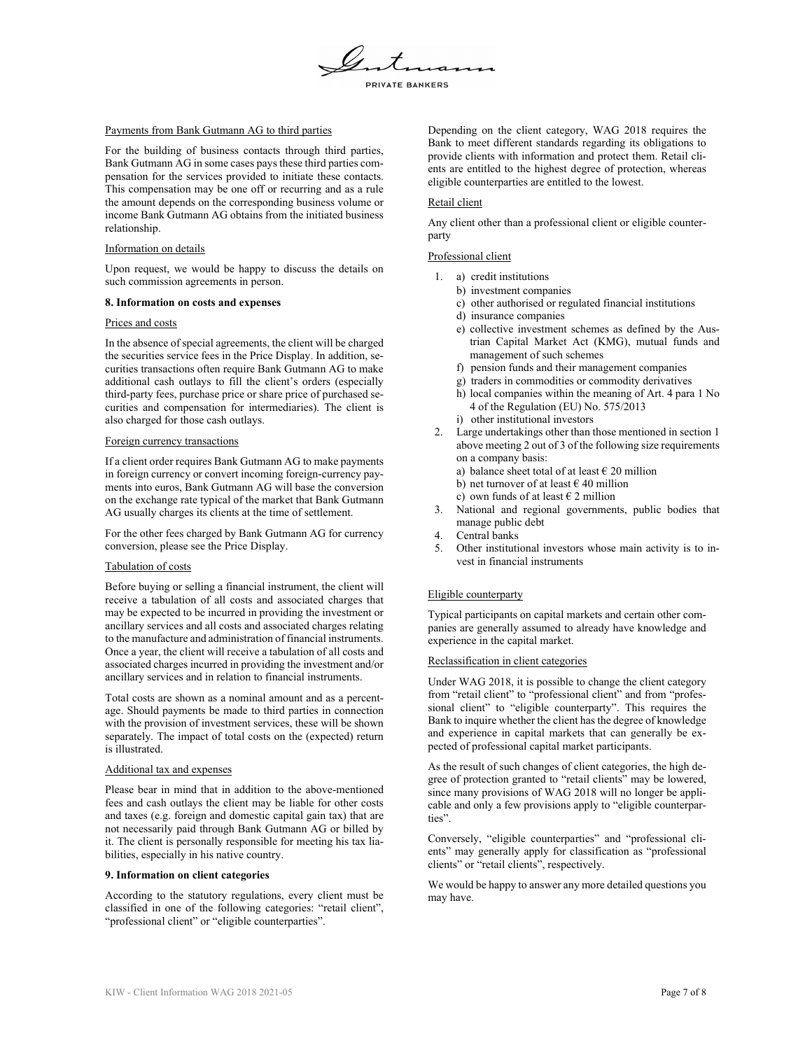

## Payments from Bank Gutmann AG to third parties

For the building of business contacts through third parties, Bank Gutmann AG in some cases pays these third parties compensation for the services provided to initiate these contacts. This compensation may be one off or recurring and as a rule the amount depends on the corresponding business volume or income Bank Gutmann AG obtains from the initiated business relationship.

### Information on details

Upon request, we would be happy to discuss the details on such commission agreements in person.

#### **8. Information on costs and expenses**

#### Prices and costs

In the absence of special agreements, the client will be charged the securities service fees in the Price Display. In addition, securities transactions often require Bank Gutmann AG to make additional cash outlays to fill the client's orders (especially third-party fees, purchase price or share price of purchased securities and compensation for intermediaries). The client is also charged for those cash outlays.

#### Foreign currency transactions

If a client order requires Bank Gutmann AG to make payments in foreign currency or convert incoming foreign-currency payments into euros, Bank Gutmann AG will base the conversion on the exchange rate typical of the market that Bank Gutmann AG usually charges its clients at the time of settlement.

For the other fees charged by Bank Gutmann AG for currency conversion, please see the Price Display.

### Tabulation of costs

Before buying or selling a financial instrument, the client will receive a tabulation of all costs and associated charges that may be expected to be incurred in providing the investment or ancillary services and all costs and associated charges relating to the manufacture and administration of financial instruments. Once a year, the client will receive a tabulation of all costs and associated charges incurred in providing the investment and/or ancillary services and in relation to financial instruments.

Total costs are shown as a nominal amount and as a percentage. Should payments be made to third parties in connection with the provision of investment services, these will be shown separately. The impact of total costs on the (expected) return is illustrated.

## Additional tax and expenses

Please bear in mind that in addition to the above-mentioned fees and cash outlays the client may be liable for other costs and taxes (e.g. foreign and domestic capital gain tax) that are not necessarily paid through Bank Gutmann AG or billed by it. The client is personally responsible for meeting his tax liabilities, especially in his native country.

## **9. Information on client categories**

According to the statutory regulations, every client must be classified in one of the following categories: "retail client", "professional client" or "eligible counterparties".

Depending on the client category, WAG 2018 requires the Bank to meet different standards regarding its obligations to provide clients with information and protect them. Retail clients are entitled to the highest degree of protection, whereas eligible counterparties are entitled to the lowest.

## Retail client

Any client other than a professional client or eligible counterparty

# Professional client

- 1. a) credit institutions
	- b) investment companies
	- c) other authorised or regulated financial institutions
	- d) insurance companies
	- e) collective investment schemes as defined by the Austrian Capital Market Act (KMG), mutual funds and management of such schemes
	- f) pension funds and their management companies
	- g) traders in commodities or commodity derivatives
	- h) local companies within the meaning of Art. 4 para 1 No 4 of the Regulation (EU) No. 575/2013 i) other institutional investors
- 2. Large undertakings other than those mentioned in section 1 above meeting 2 out of 3 of the following size requirements
	- on a company basis: a) balance sheet total of at least  $\epsilon$  20 million
	- b) net turnover of at least  $\epsilon$  40 million
	-
	- c) own funds of at least  $\epsilon$  2 million
- 3. National and regional governments, public bodies that manage public debt
- 4. Central banks
- 5. Other institutional investors whose main activity is to invest in financial instruments

### Eligible counterparty

Typical participants on capital markets and certain other companies are generally assumed to already have knowledge and experience in the capital market.

## Reclassification in client categories

Under WAG 2018, it is possible to change the client category from "retail client" to "professional client" and from "professional client" to "eligible counterparty". This requires the Bank to inquire whether the client has the degree of knowledge and experience in capital markets that can generally be expected of professional capital market participants.

As the result of such changes of client categories, the high degree of protection granted to "retail clients" may be lowered, since many provisions of WAG 2018 will no longer be applicable and only a few provisions apply to "eligible counterparties".

Conversely, "eligible counterparties" and "professional clients" may generally apply for classification as "professional clients" or "retail clients", respectively.

We would be happy to answer any more detailed questions you may have.